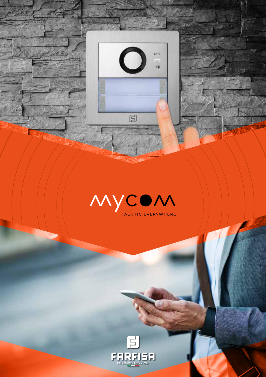



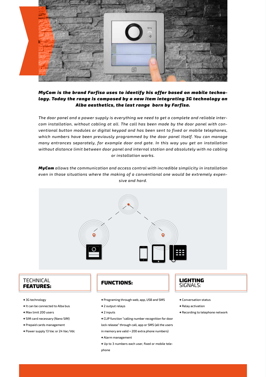

#### *MyCom is the brand Farfisa uses to identify his offer based on mobile technology. Today the range is composed by a new item integrating 3G technology on Alba aesthetics, the last range born by Farfisa.*

*The door panel and a power supply is everything we need to get a complete and reliable intercom installation, without cabling at all. The call has been made by the door panel with conventional button modules or digital keypad and has been sent to fixed or mobile telephones, which numbers have been previously programmed by the door panel itself. You can manage many entrances separately, for example door and gate. In this way you get an installation without distance limit between door panel and internal station and absolutely with no cabling or installation works.*

*MyCom allows the communication and access control with incredible simplicity in installation even in those situations where the making of a conventional one would be extremely expensive and hard.*



#### **TECHNICAL** FEATURES:

- → 3G technology
- → It can be connected to Alba bus
- → Max limit 200 users
- → SIM card necessary (Nano SIM)
- → Prepaid cards management
- → Power supply 13 Vac or 24 Vac/Vdc

- → Programing through web, app, USB and SMS
- → 2 output relays
- → 2 inputs
- → CLIP function "calling number recognition for door lock release" through call, app or SMS (all the users
- in memory are valid + 200 extra phone numbers)
- → Alarm management
- → Up to 3 numbers each user, fixed or mobile telephone

# **LIGHTING**<br>SIGNALS:

- → Conversation status
- → Relay activation
- → Recording to telephone network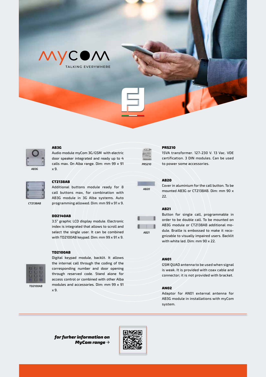



*AB3G*

#### AB3G

Audio module myCom 3G/GSM with electric door speaker integrated and ready up to 4 calls max. On Alba range. Dim: mm 99 x 91 x 9.

*CT2138AB*

#### CT2138AB

Additional buttons module ready for 8 call buttons max, for combination with AB3G module in 3G Alba systems. Auto programming allowed. Dim: mm 99 x 91 x 9.

## DD2140AB

3.5" graphic LCD display module. Electronic index is integrated that allows to scroll and select the single user. It can be combined with TD2100AB keypad. Dim: mm 99 x 91 x 9.

#### TD2100AB



Digital keypad module, backlit. It allows the internal call through the coding of the corresponding number and door opening through reserved code. Stand alone for access control or combined with other Alba modules and accessories. Dim: mm 99 x 91 x 9.



*AB20*

*AB21*

п

#### PRS210

15VA transformer. 127-230 V. 13 Vac. VDE certification. 3 DIN modules. Can be used to power some accessories.

#### AB20

Cover in aluminium for the call button. To be mounted AB3G or CT2138AB. Dim: mm 90 x 22.

#### AB21

Button for single call, programmable in order to be double call. To be mounted on AB3G module or CT2138AB additional module. Braille is embossed to make it recognizable to visually impaired users. Backlit with white led. Dim: mm 90 x 22.

#### AN01

GSM QUAD antenna to be used when signal is weak. It is provided with coax cable and connector; it is not provided with bracket.

#### AN02

Adaptor for AN01 external antenna for AB3G module in installations with myCom system.

*for furher information on MyCom range* →